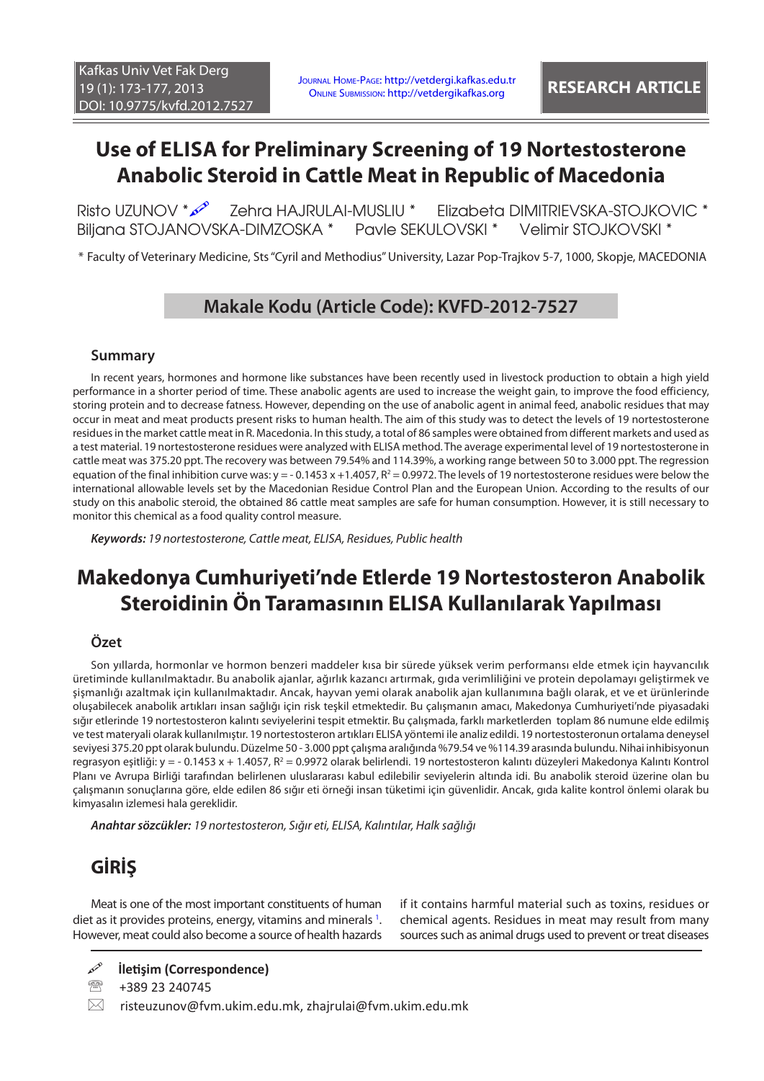# **Use of ELISA for Preliminary Screening of 19 Nortestosterone Anabolic Steroid in Cattle Meat in Republic of Macedonia**

Risto UZUNOV \* 2 Zehra HAJRULAI-MUSLIU \* Elizabeta DIMITRIEVSKA-STOJKOVIC \* Biljana STOJANOVSKA-DIMZOSKA \* Pavle SEKULOVSKI \* Velimir STOJKOVSKI \*

\* Faculty of Veterinary Medicine, Sts "Cyril and Methodius" University, Lazar Pop-Trajkov 5-7, 1000, Skopje, MACEDONIA

# **Makale Kodu (Article Code): KVFD-2012-7527**

## **Summary**

In recent years, hormones and hormone like substances have been recently used in livestock production to obtain a high yield performance in a shorter period of time. These anabolic agents are used to increase the weight gain, to improve the food efficiency, storing protein and to decrease fatness. However, depending on the use of anabolic agent in animal feed, anabolic residues that may occur in meat and meat products present risks to human health. The aim of this study was to detect the levels of 19 nortestosterone residues in the market cattle meat in R. Macedonia. In this study, a total of 86 samples were obtained from different markets and used as a test material. 19 nortestosterone residues were analyzed with ELISA method. The average experimental level of 19 nortestosterone in cattle meat was 375.20 ppt. The recovery was between 79.54% and 114.39%, a working range between 50 to 3.000 ppt. The regression equation of the final inhibition curve was: y = - 0.1453 x +1.4057, R<sup>2</sup> = 0.9972. The levels of 19 nortestosterone residues were below the international allowable levels set by the Macedonian Residue Control Plan and the European Union. According to the results of our study on this anabolic steroid, the obtained 86 cattle meat samples are safe for human consumption. However, it is still necessary to monitor this chemical as a food quality control measure.

*Keywords: 19 nortestosterone, Cattle meat, ELISA, Residues, Public health*

# **Makedonya Cumhuriyeti'nde Etlerde 19 Nortestosteron Anabolik Steroidinin Ön Taramasının ELISA Kullanılarak Yapılması**

## **Özet**

Son yıllarda, hormonlar ve hormon benzeri maddeler kısa bir sürede yüksek verim performansı elde etmek için hayvancılık üretiminde kullanılmaktadır. Bu anabolik ajanlar, ağırlık kazancı artırmak, gıda verimliliğini ve protein depolamayı geliştirmek ve şişmanlığı azaltmak için kullanılmaktadır. Ancak, hayvan yemi olarak anabolik ajan kullanımına bağlı olarak, et ve et ürünlerinde oluşabilecek anabolik artıkları insan sağlığı için risk teşkil etmektedir. Bu çalışmanın amacı, Makedonya Cumhuriyeti'nde piyasadaki sığır etlerinde 19 nortestosteron kalıntı seviyelerini tespit etmektir. Bu çalışmada, farklı marketlerden toplam 86 numune elde edilmiş ve test materyali olarak kullanılmıştır. 19 nortestosteron artıkları ELISA yöntemi ile analiz edildi. 19 nortestosteronun ortalama deneysel seviyesi 375.20 ppt olarak bulundu. Düzelme 50 - 3.000 ppt çalışma aralığında %79.54 ve %114.39 arasında bulundu. Nihai inhibisyonun regrasyon eşitliği: y = - 0.1453 x + 1.4057, R² = 0.9972 olarak belirlendi. 19 nortestosteron kalıntı düzeyleri Makedonya Kalıntı Kontrol Planı ve Avrupa Birliği tarafından belirlenen uluslararası kabul edilebilir seviyelerin altında idi. Bu anabolik steroid üzerine olan bu çalışmanın sonuçlarına göre, elde edilen 86 sığır eti örneği insan tüketimi için güvenlidir. Ancak, gıda kalite kontrol önlemi olarak bu kimyasalın izlemesi hala gereklidir.

*Anahtar sözcükler: 19 nortestosteron, Sığır eti, ELISA, Kalıntılar, Halk sağlığı*

# **GİRİŞ**

Meat is one of the most important constituents of human diet as it provides proteins, energy, vitamins and minerals <sup>1</sup>. However, meat could also become a source of health hazards if it contains harmful material such as toxins, residues or chemical agents. Residues in meat may result from many sources such as animal drugs used to prevent or treat diseases

<sup>2</sup> +389 23 240745

 $\boxtimes$  risteuzunov@fvm.ukim.edu.mk, zhajrulai@fvm.ukim.edu.mk

**İletişim (Correspondence)**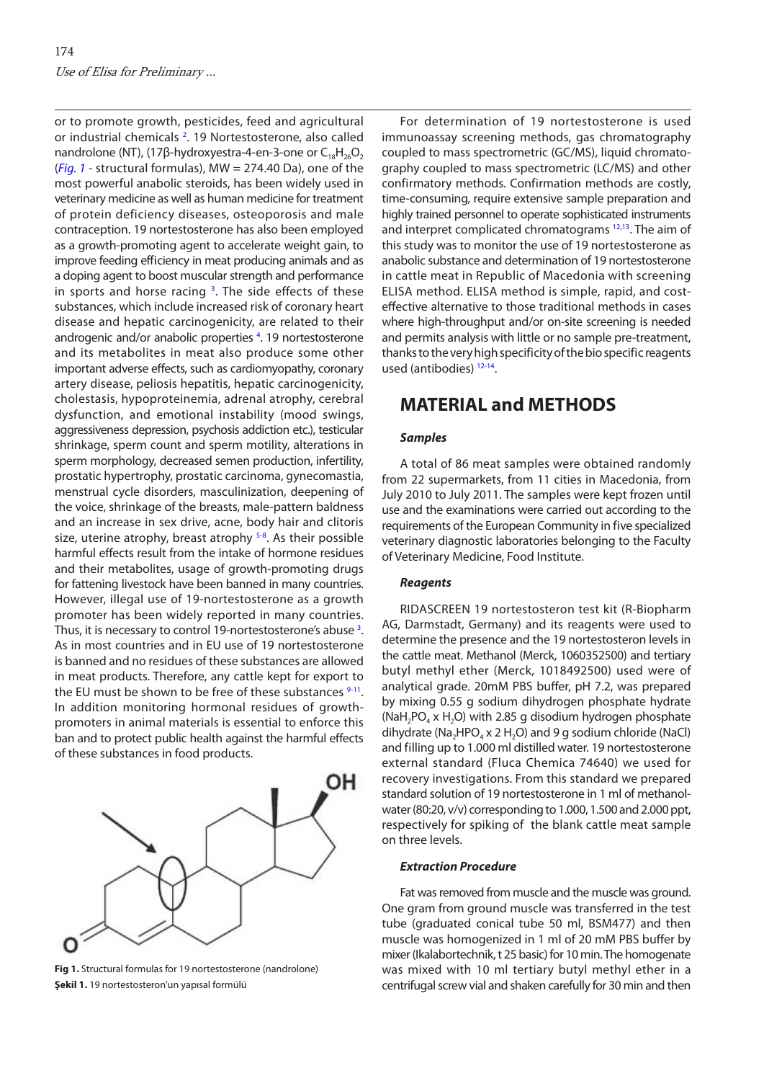or to promote growth, pesticides, feed and agricultural or industrial chemicals<sup>[2](#page-4-0)</sup>. 19 Nortestosterone, also called nandrolone (NT), (17β-hydroxyestra-4-en-3-one or  $C_{18}H_{26}O_2$ (*Fig. 1* - structural formulas), MW = 274.40 Da), one of the most powerful anabolic steroids, has been widely used in veterinary medicine as well as human medicine for treatment of protein deficiency diseases, osteoporosis and male contraception. 19 nortestosterone has also been employed as a growth-promoting agent to accelerate weight gain, to improve feeding efficiency in meat producing animals and as a doping agent to boost muscular strength and performance in sports and horse racing  $3$ . The side effects of these substances, which include increased risk of coronary heart disease and hepatic carcinogenicity, are related to their androgenic and/or anabolic properties <sup>[4](#page-4-0)</sup>. 19 nortestosterone and its metabolites in meat also produce some other important adverse effects, such as cardiomyopathy, coronary artery disease, peliosis hepatitis, hepatic carcinogenicity, cholestasis, hypoproteinemia, adrenal atrophy, cerebral dysfunction, and emotional instability (mood swings, aggressiveness depression, psychosis addiction etc.), testicular shrinkage, sperm count and sperm motility, alterations in sperm morphology, decreased semen production, infertility, prostatic hypertrophy, prostatic carcinoma, gynecomastia, menstrual cycle disorders, masculinization, deepening of the voice, shrinkage of the breasts, male-pattern baldness and an increase in sex drive, acne, body hair and clitoris size, uterine atrophy, breast atrophy <sup>5-8</sup>. As their possible harmful effects result from the intake of hormone residues and their metabolites, usage of growth-promoting drugs for fattening livestock have been banned in many countries. However, illegal use of 19-nortestosterone as a growth promoter has been widely reported in many countries. Thus, it is necessary to control 19-nortestosterone's abuse <sup>3</sup>. As in most countries and in EU use of 19 nortestosterone is banned and no residues of these substances are allowed in meat products. Therefore, any cattle kept for export to the EU must be shown to be free of these substances  $9-11$ . In addition monitoring hormonal residues of growthpromoters in animal materials is essential to enforce this ban and to protect public health against the harmful effects of these substances in food products.



**Fig 1.** Structural formulas for 19 nortestosterone (nandrolone) **Şekil 1.** 19 nortestosteron'un yapısal formülü

For determination of 19 nortestosterone is used immunoassay screening methods, gas chromatography coupled to mass spectrometric (GC/MS), liquid chromatography coupled to mass spectrometric (LC/MS) and other confirmatory methods. Confirmation methods are costly, time-consuming, require extensive sample preparation and highly trained personnel to operate sophisticated instruments and interpret complicated chromatograms  $12,13$ . The aim of this study was to monitor the use of 19 nortestosterone as anabolic substance and determination of 19 nortestosterone in cattle meat in Republic of Macedonia with screening ELISA method. ELISA method is simple, rapid, and costeffective alternative to those traditional methods in cases where high-throughput and/or on-site screening is needed and permits analysis with little or no sample pre-treatment, thanks to the very high specificity of the bio specific reagents used (antibodies) [12-14.](#page-4-0)

## **MATERIAL and METHODS**

## *Samples*

A total of 86 meat samples were obtained randomly from 22 supermarkets, from 11 cities in Macedonia, from July 2010 to July 2011. The samples were kept frozen until use and the examinations were carried out according to the requirements of the European Community in five specialized veterinary diagnostic laboratories belonging to the Faculty of Veterinary Medicine, Food Institute.

## *Reagents*

RIDASCREEN 19 nortestosteron test kit (R-Biopharm AG, Darmstadt, Germany) and its reagents were used to determine the presence and the 19 nortestosteron levels in the cattle meat. Methanol (Merck, 1060352500) and tertiary butyl methyl ether (Merck, 1018492500) used were of analytical grade. 20mM PBS buffer, pH 7.2, was prepared by mixing 0.55 g sodium dihydrogen phosphate hydrate  $(NaH<sub>2</sub>PQ<sub>4</sub> x H<sub>2</sub>O)$  with 2.85 g disodium hydrogen phosphate dihydrate (Na<sub>2</sub>HPO<sub>4</sub> x 2 H<sub>2</sub>O) and 9 g sodium chloride (NaCl) and filling up to 1.000 ml distilled water. 19 nortestosterone external standard (Fluca Chemica 74640) we used for recovery investigations. From this standard we prepared standard solution of 19 nortestosterone in 1 ml of methanolwater (80:20, v/v) corresponding to 1.000, 1.500 and 2.000 ppt, respectively for spiking of the blank cattle meat sample on three levels.

#### *Extraction Procedure*

Fat was removed from muscle and the muscle was grоund. One gram from ground muscle was transferred in the test tube (graduated conical tube 50 ml, BSM477) and then muscle was homogenized in 1 ml of 20 mM PBS buffer by mixer (Ikalabortechnik, t 25 basic) for 10 min. The homogenate was mixed with 10 ml tertiary butyl methyl ether in a centrifugal screw vial and shaken carefully for 30 min and then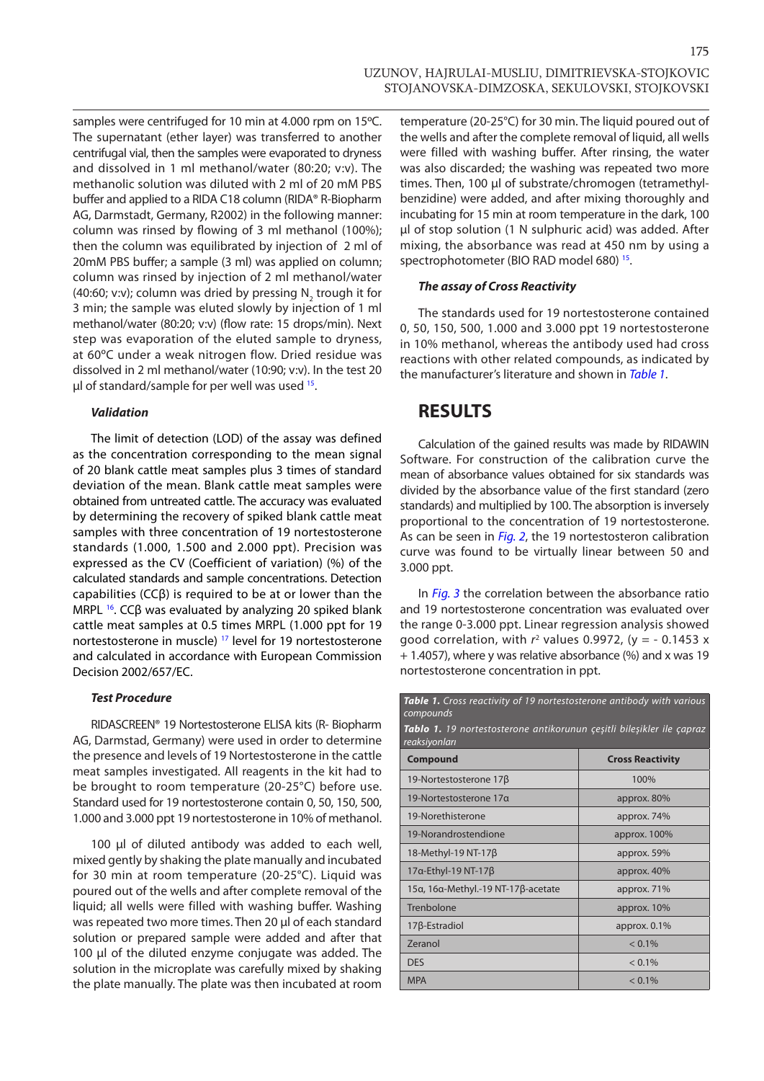175

samples were centrifuged for 10 min at 4.000 rpm on 15ºC. The supernatant (ether layer) was transferred to another centrifugal vial, then the samples were evaporated to dryness and dissolved in 1 ml methanol/water (80:20; v:v). The methanolic solution was diluted with 2 ml of 20 mM PBS buffer and applied to a RIDA C18 column (RIDA® R-Biopharm AG, Darmstadt, Germany, R2002) in the following manner: column was rinsed by flowing of 3 ml methanol (100%); then the column was equilibrated by injection of 2 ml of 20mM PBS buffer; a sample (3 ml) was applied on column; column was rinsed by injection of 2 ml methanol/water (40:60; v:v); column was dried by pressing  $\mathsf{N}_{_{2}}$  trough it for 3 min; the sample was eluted slowly by injection of 1 ml methanol/water (80:20; v:v) (flow rate: 15 drops/min). Next step was evaporation of the eluted sample to dryness, at 60ºC under a weak nitrogen flow. Dried residue was dissolved in 2 ml methanol/water (10:90; v:v). In the test 20 ul of standard/sample for per well was used  $15$ .

### *Validation*

The limit of detection (LOD) of the assay was defined as the concentration corresponding to the mean signal of 20 blank cattle meat samples plus 3 times of standard deviation of the mean. Blank cattle meat samples were obtained from untreated cattle. The accuracy was evaluated by determining the recovery of spiked blank cattle meat samples with three concentration of 19 nortestosterone standards (1.000, 1.500 and 2.000 ppt). Precision was expressed as the CV (Coefficient of variation) (%) of the calculated standards and sample concentrations. Detection capabilities (CCβ) is required to be at or lower than the MRPL <sup>16</sup>. CCβ was evaluated by analyzing 20 spiked blank cattle meat samples at 0.5 times MRPL (1.000 ppt for 19 nortestosterone in muscle) [17](#page-4-0) level for 19 nortestosterone and calculated in accordance with European Commission Decision 2002/657/EC.

#### *Test Procedure*

RIDASCREEN® 19 Nortestosterone ELISA kits (R- Biopharm AG, Darmstad, Germany) were used in order to determine the presence and levels of 19 Nortestosterone in the cattle meat samples investigated. All reagents in the kit had to be brought to room temperature (20-25°C) before use. Standard used for 19 nortestosterone contain 0, 50, 150, 500, 1.000 and 3.000 ppt 19 nortestosterone in 10% of methanol.

100 μl of diluted antibody was added to each well, mixed gently by shaking the plate manually and incubated for 30 min at room temperature (20-25°C). Liquid was poured out of the wells and after complete removal of the liquid; all wells were filled with washing buffer. Washing was repeated two more times. Then 20 μl of each standard solution or prepared sample were added and after that 100 μl of the diluted enzyme conjugate was added. The solution in the microplate was carefully mixed by shaking the plate manually. The plate was then incubated at room

temperature (20-25°C) for 30 min. The liquid poured out of the wells and after the complete removal of liquid, all wells were filled with washing buffer. After rinsing, the water was also discarded; the washing was repeated two more times. Then, 100 μl of substrate/chromogen (tetramethylbenzidine) were added, and after mixing thoroughly and incubating for 15 min at room temperature in the dark, 100 μl of stop solution (1 N sulphuric acid) was added. After mixing, the absorbance was read at 450 nm by using a spectrophotometer (BIO RAD model 680) [15.](#page-4-0)

## *The assay of Cross Reactivity*

The standards used for 19 nortestosterone contained 0, 50, 150, 500, 1.000 and 3.000 ppt 19 nortestosterone in 10% methanol, whereas the antibody used had cross reactions with other related compounds, as indicated by the manufacturer's literature and shown in *Table 1*.

## **RESULTS**

Calculation of the gained results was made by RIDAWIN Software. For construction of the calibration curve the mean of absorbance values obtained for six standards was divided by the absorbance value of the first standard (zero standards) and multiplied by 100. The absorption is inversely proportional to the concentration of 19 nortestosterone. As can be seen in *[Fig. 2](#page-3-0)*, the 19 nortestosteron calibration curve was found to be virtually linear between 50 and 3.000 ppt.

In *[Fig. 3](#page-3-0)* the correlation between the absorbance ratio and 19 nortestosterone concentration was evaluated over the range 0-3.000 ppt. Linear regression analysis showed good correlation, with  $r^2$  values 0.9972, (y =  $-$  0.1453 x + 1.4057), where y was relative absorbance (%) and x was 19 nortestosterone concentration in ppt.

*Table 1. Cross reactivity of 19 nortestosterone antibody with various compounds Tablo 1. 19 nortestosterone antikorunun çeşitli bileşikler ile çapraz reaksiyonları* **Compound Cross Reactivity** 19-Nortestosterone 17β 100% 19-Nortestosterone 17α approx. 80% 19-Norethisterone approx. 74% 19-Norandrostendione approx. 100% 18-Methyl-19 NT-17 $\beta$  approx. 59%  $17a$ -Ethyl-19 NT-17 $\beta$  approx. 40% 15α, 16α-Methyl.-19 NT-17β-acetate approx. 71% Trenbolone approx. 10% 17β-Estradiol approx. 0.1% zeranol and  $\leq 0.1\%$ DES  $< 0.1\%$ MPA  $< 0.1\%$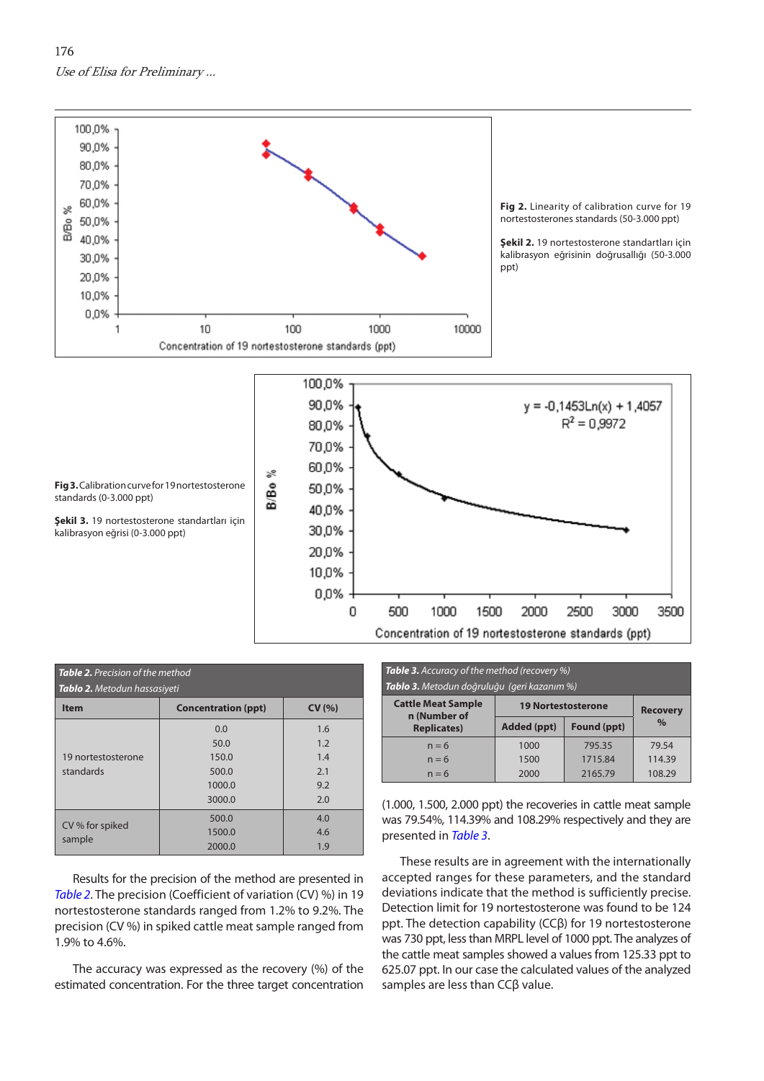<span id="page-3-0"></span>176 Use of Elisa for Preliminary ...





| <b>Table 2.</b> Precision of the method<br><b>Tablo 2.</b> Metodun hassasiyeti |                            |        |  |  |
|--------------------------------------------------------------------------------|----------------------------|--------|--|--|
| <b>Item</b>                                                                    | <b>Concentration (ppt)</b> | CV(% ) |  |  |
| 19 nortestosterone<br>standards                                                | 0.0                        | 1.6    |  |  |
|                                                                                | 50.0                       | 1.2    |  |  |
|                                                                                | 150.0                      | 1.4    |  |  |
|                                                                                | 500.0                      | 2.1    |  |  |
|                                                                                | 1000.0                     | 9.2    |  |  |
|                                                                                | 3000.0                     | 2.0    |  |  |
| CV % for spiked<br>sample                                                      | 500.0                      | 4.0    |  |  |
|                                                                                | 1500.0                     | 4.6    |  |  |
|                                                                                | 2000.0                     | 1.9    |  |  |

Results for the precision of the method are presented in *Table 2*. The precision (Coefficient of variation (CV) %) in 19 nortestosterone standards ranged from 1.2% to 9.2%. The precision (CV %) in spiked cattle meat sample ranged from 1.9% to 4.6%.

The accuracy was expressed as the recovery (%) of the estimated concentration. For the three target concentration

| <b>Table 3.</b> Accuracy of the method (recovery %)<br>Tablo 3. Metodun doğruluğu (geri kazanım %) |                           |             |                 |  |
|----------------------------------------------------------------------------------------------------|---------------------------|-------------|-----------------|--|
| <b>Cattle Meat Sample</b><br>n (Number of                                                          | <b>19 Nortestosterone</b> |             | <b>Recovery</b> |  |
| <b>Replicates)</b>                                                                                 | Added (ppt)               | Found (ppt) | $\%$            |  |
| $n = 6$                                                                                            | 1000                      | 795.35      | 79.54           |  |
| $n = 6$                                                                                            | 1500                      | 1715.84     | 114.39          |  |
| $n = 6$                                                                                            | 2000                      | 2165.79     | 108.29          |  |

(1.000, 1.500, 2.000 ppt) the recoveries in cattle meat sample was 79.54%, 114.39% and 108.29% respectively and they are presented in *Table 3*.

These results are in agreement with the internationally accepted ranges for these parameters, and the standard deviations indicate that the method is sufficiently precise. Detection limit for 19 nortestosterone was found to be 124 ppt. The detection capability (CCβ) for 19 nortestosterone was 730 ppt, less than MRPL level of 1000 ppt. The analyzes of the cattle meat samples showed a values from 125.33 ppt to 625.07 ppt. In our case the calculated values of the analyzed samples are less than CCβ value.